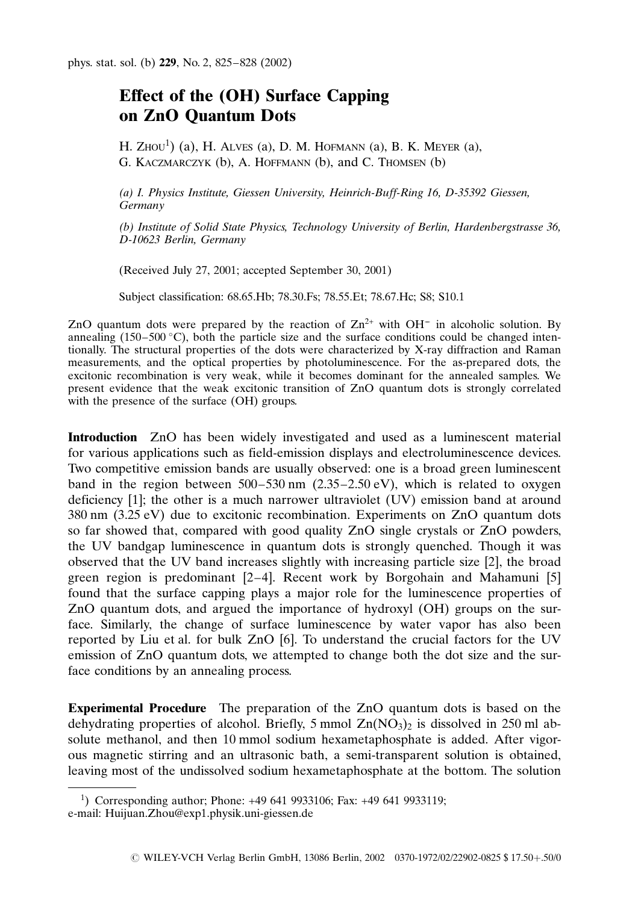## Effect of the (OH) Surface Capping on ZnO Quantum Dots

H. Zhou<sup>1</sup>) (a), H. Alves (a), D. M. Hofmann (a), B. K. Meyer (a), G. Kaczmarczyk (b), A. Hoffmann (b), and C. Thomsen (b)

(a) I. Physics Institute, Giessen University, Heinrich-Buff-Ring 16, D-35392 Giessen, Germany

(b) Institute of Solid State Physics, Technology University of Berlin, Hardenbergstrasse 36, D-10623 Berlin, Germany

(Received July 27, 2001; accepted September 30, 2001)

Subject classification: 68.65.Hb; 78.30.Fs; 78.55.Et; 78.67.Hc; S8; S10.1

ZnO quantum dots were prepared by the reaction of  $Zn^{2+}$  with OH<sup>-</sup> in alcoholic solution. By annealing (150–500 °C), both the particle size and the surface conditions could be changed intentionally. The structural properties of the dots were characterized by X-ray diffraction and Raman measurements, and the optical properties by photoluminescence. For the as-prepared dots, the excitonic recombination is very weak, while it becomes dominant for the annealed samples. We present evidence that the weak excitonic transition of ZnO quantum dots is strongly correlated with the presence of the surface (OH) groups.

Introduction ZnO has been widely investigated and used as a luminescent material for various applications such as field-emission displays and electroluminescence devices. Two competitive emission bands are usually observed: one is a broad green luminescent band in the region between  $500-530$  nm  $(2.35-2.50 \text{ eV})$ , which is related to oxygen deficiency [1]; the other is a much narrower ultraviolet (UV) emission band at around 380 nm (3.25 eV) due to excitonic recombination. Experiments on ZnO quantum dots so far showed that, compared with good quality ZnO single crystals or ZnO powders, the UV bandgap luminescence in quantum dots is strongly quenched. Though it was observed that the UV band increases slightly with increasing particle size [2], the broad green region is predominant [2–4]. Recent work by Borgohain and Mahamuni [5] found that the surface capping plays a major role for the luminescence properties of ZnO quantum dots, and argued the importance ofhydroxyl (OH) groups on the surface. Similarly, the change of surface luminescence by water vapor has also been reported by Liu et al. for bulk ZnO [6]. To understand the crucial factors for the UV emission of ZnO quantum dots, we attempted to change both the dot size and the surface conditions by an annealing process.

**Experimental Procedure** The preparation of the ZnO quantum dots is based on the dehydrating properties of alcohol. Briefly, 5 mmol  $Zn(NO<sub>3</sub>)<sub>2</sub>$  is dissolved in 250 ml absolute methanol, and then 10 mmol sodium hexametaphosphate is added. After vigorous magnetic stirring and an ultrasonic bath, a semi-transparent solution is obtained, leaving most of the undissolved sodium hexametaphosphate at the bottom. The solution

<sup>1</sup> ) Corresponding author; Phone: +49 641 9933106; Fax: +49 641 9933119; e-mail: Huijuan.Zhou@exp1.physik.uni-giessen.de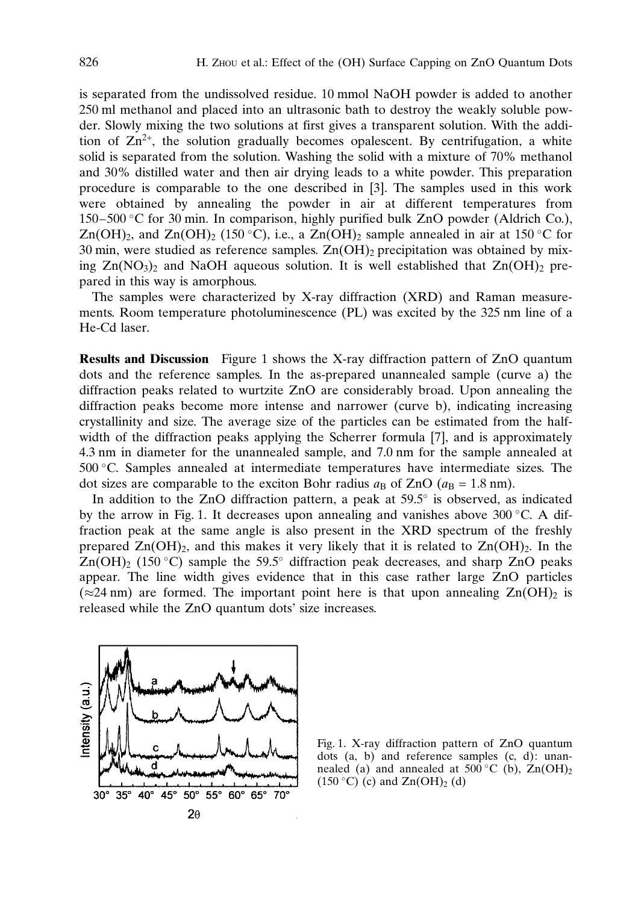is separated from the undissolved residue. 10 mmol NaOH powder is added to another 250 ml methanol and placed into an ultrasonic bath to destroy the weakly soluble powder. Slowly mixing the two solutions at first gives a transparent solution. With the addition of  $Zn^{2+}$ , the solution gradually becomes opalescent. By centrifugation, a white solid is separated from the solution. Washing the solid with a mixture of 70% methanol and 30% distilled water and then air drying leads to a white powder. This preparation procedure is comparable to the one described in [3]. The samples used in this work were obtained by annealing the powder in air at different temperatures from  $150-500$  °C for 30 min. In comparison, highly purified bulk ZnO powder (Aldrich Co.),  $Zn(OH)_{2}$ , and  $Zn(OH)_{2}$  (150 °C), i.e., a  $Zn(OH)_{2}$  sample annealed in air at 150 °C for 30 min, were studied as reference samples.  $Zn(OH)_2$  precipitation was obtained by mixing  $Zn(NO<sub>3</sub>)<sub>2</sub>$  and NaOH aqueous solution. It is well established that  $Zn(OH)<sub>2</sub>$  prepared in this way is amorphous.

The samples were characterized by X-ray diffraction (XRD) and Raman measurements. Room temperature photoluminescence (PL) was excited by the 325 nm line of a He-Cd laser.

Results and Discussion Figure 1 shows the X-ray diffraction pattern of ZnO quantum dots and the reference samples. In the as-prepared unannealed sample (curve a) the diffraction peaks related to wurtzite ZnO are considerably broad. Upon annealing the diffraction peaks become more intense and narrower (curve b), indicating increasing crystallinity and size. The average size of the particles can be estimated from the halfwidth of the diffraction peaks applying the Scherrer formula [7], and is approximately 4.3 nm in diameter for the unannealed sample, and 7.0 nm for the sample annealed at 500 C. Samples annealed at intermediate temperatures have intermediate sizes. The dot sizes are comparable to the exciton Bohr radius  $a<sub>B</sub>$  of ZnO ( $a<sub>B</sub> = 1.8$  nm).

In addition to the ZnO diffraction pattern, a peak at  $59.5^\circ$  is observed, as indicated by the arrow in Fig. 1. It decreases upon annealing and vanishes above 300 °C. A diffraction peak at the same angle is also present in the XRD spectrum of the freshly prepared  $Zn(OH)$ <sub>2</sub>, and this makes it very likely that it is related to  $Zn(OH)$ <sub>2</sub>. In the  $Zn(OH)$ <sub>2</sub> (150 °C) sample the 59.5° diffraction peak decreases, and sharp ZnO peaks appear. The line width gives evidence that in this case rather large ZnO particles ( $\approx$ 24 nm) are formed. The important point here is that upon annealing  $Zn(OH)$ <sub>2</sub> is released while the ZnO quantum dots' size increases.



Fig. 1. X-ray diffraction pattern of ZnO quantum dots (a, b) and reference samples (c, d): unannealed (a) and annealed at 500 °C (b),  $\text{Zn}(\text{OH})_2$  $(150 °C)$  (c) and  $Zn(OH)<sub>2</sub>$  (d)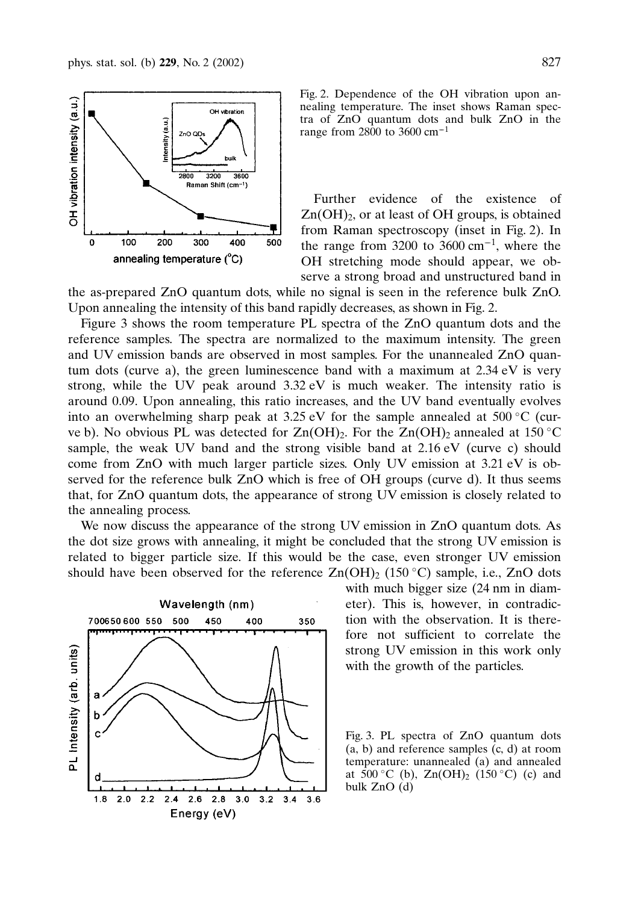

Fig. 2. Dependence of the OH vibration upon annealing temperature. The inset shows Raman spectra of ZnO quantum dots and bulk ZnO in the range from 2800 to 3600  $cm^{-1}$ 

Further evidence of the existence of  $Zn(OH)<sub>2</sub>$ , or at least of OH groups, is obtained from Raman spectroscopy (inset in Fig. 2). In the range from 3200 to 3600 cm<sup>-1</sup>, where the OH stretching mode should appear, we observe a strong broad and unstructured band in

the as-prepared ZnO quantum dots, while no signal is seen in the reference bulk ZnO. Upon annealing the intensity of this band rapidly decreases, as shown in Fig. 2.

Figure 3 shows the room temperature PL spectra of the ZnO quantum dots and the reference samples. The spectra are normalized to the maximum intensity. The green and UV emission bands are observed in most samples. For the unannealed ZnO quantum dots (curve a), the green luminescence band with a maximum at  $2.34 \text{ eV}$  is very strong, while the UV peak around  $3.32 \text{ eV}$  is much weaker. The intensity ratio is around 0.09. Upon annealing, this ratio increases, and the UV band eventually evolves into an overwhelming sharp peak at 3.25 eV for the sample annealed at 500 °C (curve b). No obvious PL was detected for  $Zn(OH)$ . For the  $Zn(OH)$  annealed at 150 °C sample, the weak UV band and the strong visible band at  $2.16 \text{ eV}$  (curve c) should come from ZnO with much larger particle sizes. Only UV emission at 3.21 eV is observed for the reference bulk ZnO which is free of OH groups (curve d). It thus seems that, for ZnO quantum dots, the appearance of strong UV emission is closely related to the annealing process.

We now discuss the appearance of the strong UV emission in ZnO quantum dots. As the dot size grows with annealing, it might be concluded that the strong UV emission is related to bigger particle size. Ifthis would be the case, even stronger UV emission should have been observed for the reference  $\text{Zn}(\text{OH})_2$  (150 °C) sample, i.e., ZnO dots



with much bigger size (24 nm in diameter). This is, however, in contradiction with the observation. It is therefore not sufficient to correlate the strong UV emission in this work only with the growth of the particles.

Fig. 3. PL spectra of ZnO quantum dots (a, b) and reference samples (c, d) at room temperature: unannealed (a) and annealed at  $500\,^{\circ}$ C (b),  $Zn(OH)_{2}$  (150 °C) (c) and bulk ZnO (d)